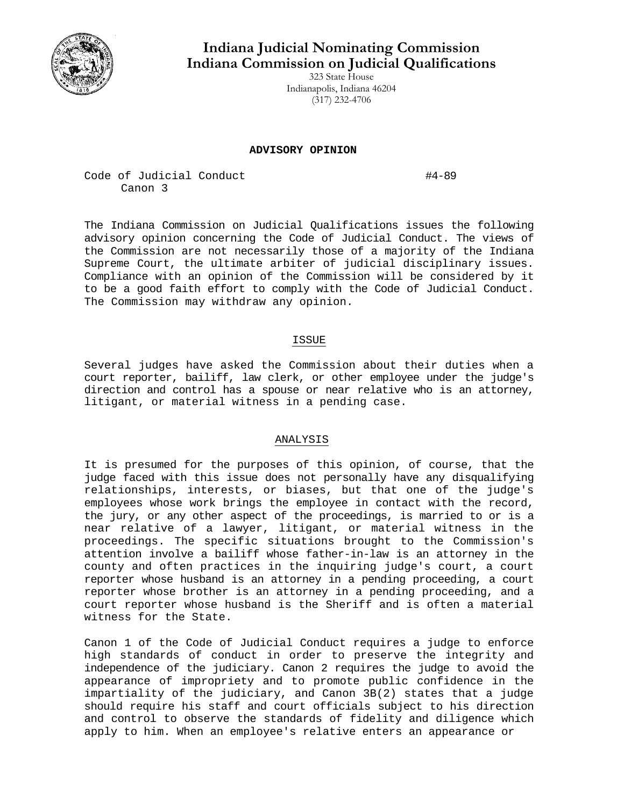

# **Indiana Judicial Nominating Commission Indiana Commission on Judicial Qualifications**

323 State House Indianapolis, Indiana 46204 (317) 232-4706

### **ADVISORY OPINION**

Code of Judicial Conduct #4-89 Canon 3

The Indiana Commission on Judicial Qualifications issues the following advisory opinion concerning the Code of Judicial Conduct. The views of the Commission are not necessarily those of a majority of the Indiana Supreme Court, the ultimate arbiter of judicial disciplinary issues. Compliance with an opinion of the Commission will be considered by it to be a good faith effort to comply with the Code of Judicial Conduct. The Commission may withdraw any opinion.

# ISSUE

Several judges have asked the Commission about their duties when a court reporter, bailiff, law clerk, or other employee under the judge's direction and control has a spouse or near relative who is an attorney, litigant, or material witness in a pending case.

## ANALYSIS

It is presumed for the purposes of this opinion, of course, that the judge faced with this issue does not personally have any disqualifying relationships, interests, or biases, but that one of the judge's employees whose work brings the employee in contact with the record, the jury, or any other aspect of the proceedings, is married to or is a near relative of a lawyer, litigant, or material witness in the proceedings. The specific situations brought to the Commission's attention involve a bailiff whose father-in-law is an attorney in the county and often practices in the inquiring judge's court, a court reporter whose husband is an attorney in a pending proceeding, a court reporter whose brother is an attorney in a pending proceeding, and a court reporter whose husband is the Sheriff and is often a material witness for the State.

Canon 1 of the Code of Judicial Conduct requires a judge to enforce high standards of conduct in order to preserve the integrity and independence of the judiciary. Canon 2 requires the judge to avoid the appearance of impropriety and to promote public confidence in the impartiality of the judiciary, and Canon 3B(2) states that a judge should require his staff and court officials subject to his direction and control to observe the standards of fidelity and diligence which apply to him. When an employee's relative enters an appearance or